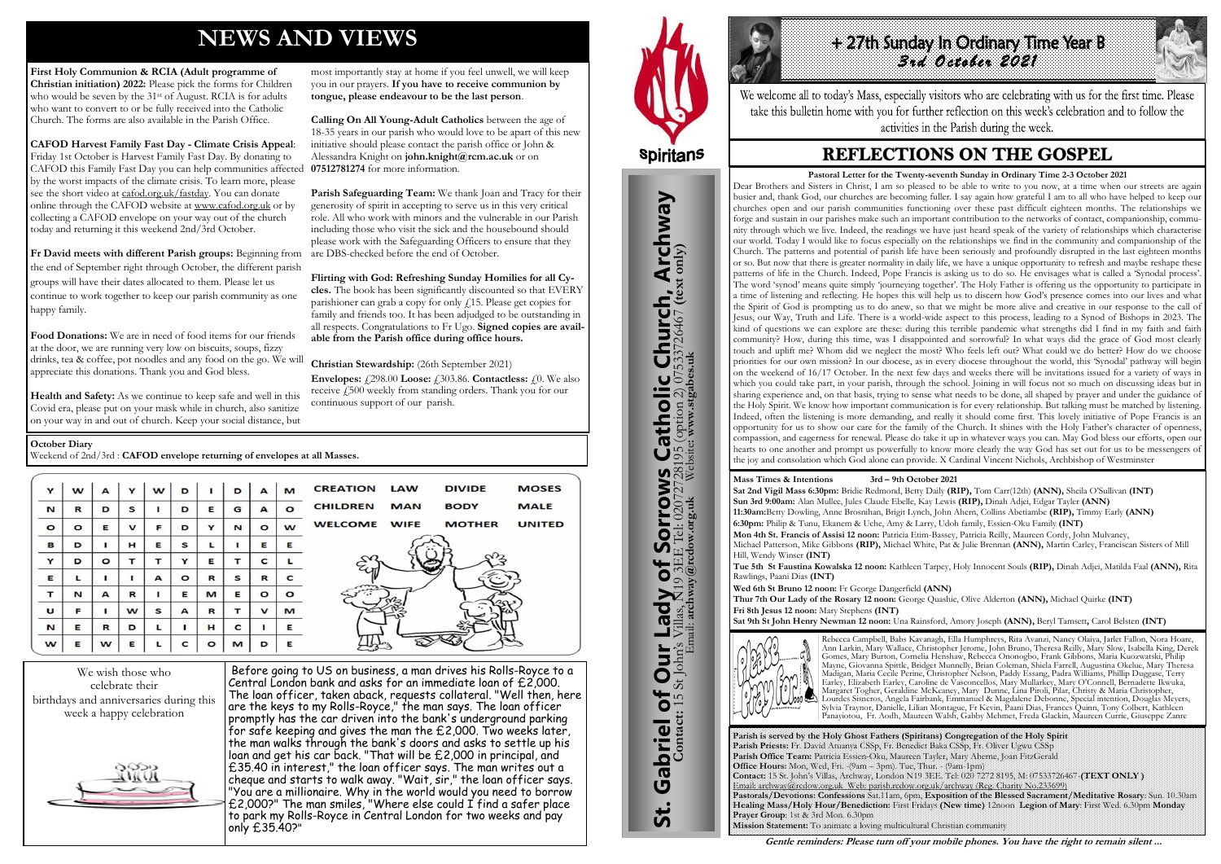# **NEWS AND VIEWS**

**First Holy Communion & RCIA (Adult programme of Christian initiation) 2022:** Please pick the forms for Children who would be seven by the 31<sup>st</sup> of August. RCIA is for adults who want to convert to or be fully received into the Catholic Church. The forms are also available in the Parish Office.

**CAFOD Harvest Family Fast Day - Climate Crisis Appeal**: Friday 1st October is Harvest Family Fast Day. By donating to CAFOD this Family Fast Day you can help communities affected by the worst impacts of the climate crisis. To learn more, please see the short video at [cafod.org.uk/fastday.](http://cafod.org.uk/fastday) You can donate online through the CAFOD website at [www.cafod.org.uk](http://www.cafod.org.uk/) or by collecting a CAFOD envelope on your way out of the church today and returning it this weekend 2nd/3rd October.

**Fr David meets with different Parish groups:** Beginning from the end of September right through October, the different parish groups will have their dates allocated to them. Please let us continue to work together to keep our parish community as one happy family.

**Food Donations:** We are in need of food items for our friends at the door, we are running very low on biscuits, soups, fizzy drinks, tea & coffee, pot noodles and any food on the go. We will appreciate this donations. Thank you and God bless.

**Health and Safety:** As we continue to keep safe and well in this Covid era, please put on your mask while in church, also sanitize on your way in and out of church. Keep your social distance, but

**Envelopes:**  $\angle 298.00$  **Loose:**  $\angle 303.86$ . **Contactless:**  $\angle 0$ . We also receive £500 weekly from standing orders. Thank you for our continuous support of our parish.

most importantly stay at home if you feel unwell, we will keep you in our prayers. **If you have to receive communion by tongue, please endeavour to be the last person**.

**Calling On All Young-Adult Catholics** between the age of 18-35 years in our parish who would love to be apart of this new initiative should please contact the parish office or John & Alessandra Knight on **john.knight@rcm.ac.uk** or on **07512781274** for more information.

1.27th sunday in Ordinary Hine Year B *3rd October 2021* 

We welcome all to today's Mass, especially visitors who are celebrating with us for the first time. Please take this bulletin home with you for further reflection on this week's celebration and to follow the activities in the Parish during the week.

## **REFLECTIONS ON THE GOSPEL**

**Parish Safeguarding Team:** We thank Joan and Tracy for their generosity of spirit in accepting to serve us in this very critical role. All who work with minors and the vulnerable in our Parish including those who visit the sick and the housebound should please work with the Safeguarding Officers to ensure that they are DBS-checked before the end of October.

**Flirting with God: Refreshing Sunday Homilies for all Cycles.** The book has been significantly discounted so that EVERY parishioner can grab a copy for only £15. Please get copies for family and friends too. It has been adjudged to be outstanding in all respects. Congratulations to Fr Ugo. **Signed copies are available from the Parish office during office hours.**

**Christian Stewardship:** (26th September 2021)





Before going to US on business, a man drives his Rolls-Royce to a Central London bank and asks for an immediate loan of £2,000. The loan officer, taken aback, requests collateral. "Well then, here are the keys to my Rolls-Royce," the man says. The loan officer promptly has the car driven into the bank's underground parking for safe keeping and gives the man the £2,000. Two weeks later, the man walks through the bank's doors and asks to settle up his loan and get his car back. "That will be £2,000 in principal, and £35.40 in interest," the loan officer says. The man writes out a cheque and starts to walk away. "Wait, sir," the loan officer says. "You are a millionaire. Why in the world would you need to borrow  $\pounds$ 2,000?" The man smiles, "Where else could I find a safer place to park my Rolls-Royce in Central London for two weeks and pay only £35.40?"



#### **October Diary**

Weekend of 2nd/3rd : **CAFOD envelope returning of envelopes at all Masses.**

| Y            | w       | A            | Y            | w | D       | п           | D | A           | M       | <b>CREATION LAW</b><br><b>DIVIDE</b><br><b>MOSES</b>        |
|--------------|---------|--------------|--------------|---|---------|-------------|---|-------------|---------|-------------------------------------------------------------|
| N            | R       | D            | s            |   | D       | Е           | G | A           | Ω       | <b>CHILDREN</b><br><b>BODY</b><br><b>MAN</b><br><b>MALE</b> |
| $\circ$      | $\circ$ | Е            | $\mathbf{v}$ | F | D       | Y           | N | $\circ$     | w       | <b>WELCOME WIFE</b><br><b>MOTHER</b><br><b>UNITED</b>       |
| B            | D       |              | н            | Е | s       | L           |   | Е           | Е       |                                                             |
| Y            | D       | $\circ$      | т            | т | Y       | Е           | т | C           |         |                                                             |
| Е            | L       |              |              | A | $\circ$ | R           | s | R           | C       |                                                             |
| $\mathbf{r}$ | N       | $\mathbf{A}$ | R            |   | E       | M           | Е | $\circ$     | $\circ$ |                                                             |
| $\cup$       | F       |              | w            | s | A       | $\mathbf R$ | т | $\mathbf v$ | M       |                                                             |
| N            | E       | R            | D            | L |         | н           | C |             | Е       |                                                             |
| w            | Е       | W            | Е            |   | c       | $\circ$     | М | D           | Е       |                                                             |

**Parish is served by the Holy Ghost Fathers (Spiritans) Congregation of the Holy Spirit Parish Priests:** Fr. David Atuanya CSSp, Fr. Benedict Baka CSSp, Fr. Oliver Ugwu CSSp **Parish Office Team:** Patricia Essien-Oku, Maureen Tayler, Mary Aherne, Joan FitzGerald **Office Hours:** Mon, Wed, Fri. -(9am – 3pm). Tue, Thur. - (9am-1pm) **Contact:** 15 St. John's Villas, Archway, London N19 3EE. Tel: 020 7272 8195, M: 07533726467-**(TEXT ONLY )** Email: archway@rcdow.org.uk Web: parish.rcdow.org.uk/archway (Reg. Charity No.233699) **Pastorals/Devotions: Confessions** Sat.11am, 6pm, **Exposition of the Blessed Sacrament/Meditative Rosary**: Sun. 10.30am **Healing Mass/Holy Hour/Benediction:** First Fridays **(New time)** 12noon **Legion of Mary**: First Wed. 6.30pm **Monday Prayer Group**: 1st & 3rd Mon. 6.30pm **Mission Statement:** To animate a loving multicultural Christian community



**Mass Times & Intentions 3rd – 9th October 2021 Sat 2nd Vigil Mass 6:30pm:** Bridie Redmond, Betty Daily **(RIP),** Tom Carr(12th) **(ANN),** Sheila O'Sullivan **(INT) Sun 3rd 9:00am:** Alan Mullee, Jules Claude Ebelle, Kay Lewis **(RIP),** Dinah Adjei, Edgar Tayler **(ANN) 11:30am:**Betty Dowling, Anne Brosnihan, Brigit Lynch, John Ahern, Collins Abetiambe **(RIP),** Timmy Early **(ANN) 6:30pm:** Philip & Tunu, Ekanem & Uche, Amy & Larry, Udoh family, Essien-Oku Family **(INT) Mon 4th St. Francis of Assisi 12 noon:** Patricia Etim-Bassey, Patricia Reilly, Maureen Cordy, John Mulvaney, Michael Patterson, Mike Gibbons **(RIP),** Michael White, Pat & Julie Brennan **(ANN),** Martin Carley, Franciscan Sisters of Mill Hill, Wendy Winser **(INT)** 

**Tue 5th St Faustina Kowalska 12 noon:** Kathleen Tarpey, Holy Innocent Souls **(RIP),** Dinah Adjei, Matilda Faal **(ANN),** Rita Rawlings, Paani Dias **(INT)** 

**Wed 6th St Bruno 12 noon:** Fr George Dangerfield **(ANN) Thur 7th Our Lady of the Rosary 12 noon:** George Quashie, Olive Alderton **(ANN),** Michael Quirke **(INT) Fri 8th Jesus 12 noon:** Mary Stephens **(INT) Sat 9th St John Henry Newman 12 noon:** Una Rainsford, Amory Joseph **(ANN),** Beryl Tamsett**,** Carol Belsten **(INT)**



Rebecca Campbell, Babs Kavanagh, Ella Humphreys, Rita Avanzi, Nancy Olaiya, Jarlet Fallon, Nora Hoare, Ann Larkin, Mary Wallace, Christopher Jerome, John Bruno, Theresa Reilly, Mary Slow, Isabella King, Derek Gomes, Mary Burton, Cornelia Henshaw, Rebecca Ononogbo, Frank Gibbons, Maria Kuozwatski, Philip Mayne, Giovanna Spittle, Bridget Munnelly, Brian Coleman, Shiela Farrell, Augustina Okelue, Mary Theresa Madigan, Maria Cecile Perine, Christopher Nelson, Paddy Essang, Padra Williams, Phillip Duggase, Terry Earley, Elizabeth Earley, Caroline de Vasconcellos, Mary Mullarkey, Mary O'Connell, Bernadette Ikwuka, Margaret Togher, Geraldine McKeaney, Mary Dunne, Lina Piroli, Pilar, Christy & Maria Christopher, Lourdes Sisneros, Angela Fairbank, Emmanuel & Magdalene Debonne, Special intention, Douglas Meyers, Sylvia Traynor, Danielle, Lilian Montague, Fr Kevin, Paani Dias, Frances Quinn, Tony Colbert, Kathleen Panayiotou, Fr. Aodh, Maureen Walsh, Gabby Mehmet, Freda Glackin, Maureen Currie, Giuseppe Zanre

**Gentle reminders: Please turn off your mobile phones. You have the right to remain silent ...** 

**Pastoral Letter for the Twenty-seventh Sunday in Ordinary Time 2-3 October 2021** Dear Brothers and Sisters in Christ, I am so pleased to be able to write to you now, at a time when our streets are again busier and, thank God, our churches are becoming fuller. I say again how grateful I am to all who have helped to keep our churches open and our parish communities functioning over these past difficult eighteen months. The relationships we forge and sustain in our parishes make such an important contribution to the networks of contact, companionship, community through which we live. Indeed, the readings we have just heard speak of the variety of relationships which characterise our world. Today I would like to focus especially on the relationships we find in the community and companionship of the Church. The patterns and potential of parish life have been seriously and profoundly disrupted in the last eighteen months or so. But now that there is greater normality in daily life, we have a unique opportunity to refresh and maybe reshape these patterns of life in the Church. Indeed, Pope Francis is asking us to do so. He envisages what is called a 'Synodal process'. The word 'synod' means quite simply 'journeying together'. The Holy Father is offering us the opportunity to participate in a time of listening and reflecting. He hopes this will help us to discern how God's presence comes into our lives and what the Spirit of God is prompting us to do anew, so that we might be more alive and creative in our response to the call of Jesus, our Way, Truth and Life. There is a world-wide aspect to this process, leading to a Synod of Bishops in 2023. The kind of questions we can explore are these: during this terrible pandemic what strengths did I find in my faith and faith community? How, during this time, was I disappointed and sorrowful? In what ways did the grace of God most clearly touch and uplift me? Whom did we neglect the most? Who feels left out? What could we do better? How do we choose priorities for our own mission? In our diocese, as in every diocese throughout the world, this 'Synodal' pathway will begin on the weekend of 16/17 October. In the next few days and weeks there will be invitations issued for a variety of ways in which you could take part, in your parish, through the school. Joining in will focus not so much on discussing ideas but in sharing experience and, on that basis, trying to sense what needs to be done, all shaped by prayer and under the guidance of the Holy Spirit. We know how important communication is for every relationship. But talking must be matched by listening. Indeed, often the listening is more demanding, and really it should come first. This lovely initiative of Pope Francis is an opportunity for us to show our care for the family of the Church. It shines with the Holy Father's character of openness, compassion, and eagerness for renewal. Please do take it up in whatever ways you can. May God bless our efforts, open our hearts to one another and prompt us powerfully to know more clearly the way God has set out for us to be messengers of the joy and consolation which God alone can provide. X Cardinal Vincent Nichols, Archbishop of Westminster